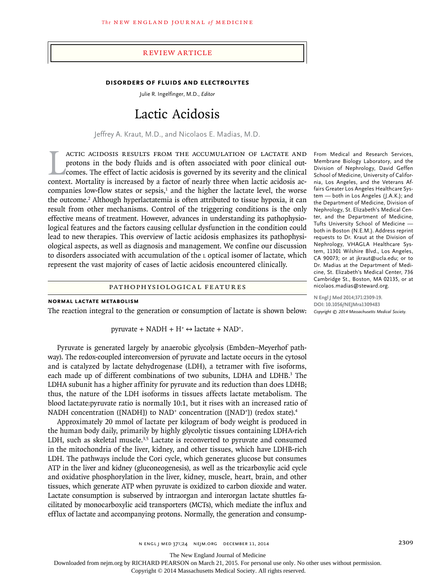## Review Article

## **Disorders of Fluids and Electrolytes**

Julie R. Ingelfinger, M.D., *Editor*

# Lactic Acidosis

Jeffrey A. Kraut, M.D., and Nicolaos E. Madias, M.D.

ACTIC ACIDOSIS RESULTS FROM THE ACCUMULATION OF LACTATE AND protons in the body fluids and is often associated with poor clinical out-<br>comes. The effect of lactic acidosis is governed by its severity and the clinical<br>conte actic acidosis results from the accumulation of lactate and protons in the body fluids and is often associated with poor clinical outcomes. The effect of lactic acidosis is governed by its severity and the clinical companies low-flow states or sepsis, $1$  and the higher the lactate level, the worse the outcome.<sup>2</sup> Although hyperlactatemia is often attributed to tissue hypoxia, it can result from other mechanisms. Control of the triggering conditions is the only effective means of treatment. However, advances in understanding its pathophysiological features and the factors causing cellular dysfunction in the condition could lead to new therapies. This overview of lactic acidosis emphasizes its pathophysiological aspects, as well as diagnosis and management. We confine our discussion to disorders associated with accumulation of the l optical isomer of lactate, which represent the vast majority of cases of lactic acidosis encountered clinically.

## Pathophysiological Features

#### **Normal Lactate Metabolism**

The reaction integral to the generation or consumption of lactate is shown below:

pyruvate + NADH +  $H^+ \leftrightarrow$  lactate + NAD<sup>+</sup>.

Pyruvate is generated largely by anaerobic glycolysis (Embden–Meyerhof pathway). The redox-coupled interconversion of pyruvate and lactate occurs in the cytosol and is catalyzed by lactate dehydrogenase (LDH), a tetramer with five isoforms, each made up of different combinations of two subunits, LDHA and LDHB.<sup>3</sup> The LDHA subunit has a higher affinity for pyruvate and its reduction than does LDHB; thus, the nature of the LDH isoforms in tissues affects lactate metabolism. The blood lactate:pyruvate ratio is normally 10:1, but it rises with an increased ratio of NADH concentration ([NADH]) to NAD<sup>+</sup> concentration ([NAD<sup>+</sup>]) (redox state).<sup>4</sup>

Approximately 20 mmol of lactate per kilogram of body weight is produced in the human body daily, primarily by highly glycolytic tissues containing LDHA-rich LDH, such as skeletal muscle.<sup>3,5</sup> Lactate is reconverted to pyruvate and consumed in the mitochondria of the liver, kidney, and other tissues, which have LDHB-rich LDH. The pathways include the Cori cycle, which generates glucose but consumes ATP in the liver and kidney (gluconeogenesis), as well as the tricarboxylic acid cycle and oxidative phosphorylation in the liver, kidney, muscle, heart, brain, and other tissues, which generate ATP when pyruvate is oxidized to carbon dioxide and water. Lactate consumption is subserved by intraorgan and interorgan lactate shuttles facilitated by monocarboxylic acid transporters (MCTs), which mediate the influx and efflux of lactate and accompanying protons. Normally, the generation and consump-

From Medical and Research Services, Membrane Biology Laboratory, and the Division of Nephrology, David Geffen School of Medicine, University of California, Los Angeles, and the Veterans Affairs Greater Los Angeles Healthcare System — both in Los Angeles (J.A.K.); and the Department of Medicine, Division of Nephrology, St. Elizabeth's Medical Center, and the Department of Medicine, Tufts University School of Medicine both in Boston (N.E.M.). Address reprint requests to Dr. Kraut at the Division of Nephrology, VHAGLA Healthcare System, 11301 Wilshire Blvd., Los Angeles, CA 90073; or at jkraut@ucla.edu; or to Dr. Madias at the Department of Medicine, St. Elizabeth's Medical Center, 736 Cambridge St., Boston, MA 02135, or at nicolaos.madias@steward.org.

**N Engl J Med 2014;371:2309-19. DOI: 10.1056/NEJMra1309483** *Copyright © 2014 Massachusetts Medical Society.*

n engl j med 371;24 nejm.org December 11, 2014 2309

The New England Journal of Medicine

Downloaded from nejm.org by RICHARD PEARSON on March 21, 2015. For personal use only. No other uses without permission.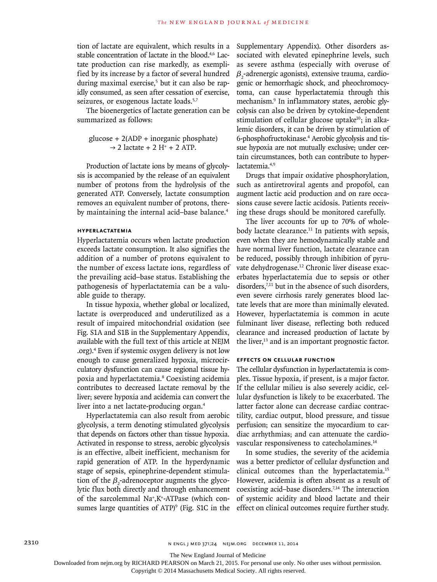tion of lactate are equivalent, which results in a stable concentration of lactate in the blood.4,6 Lactate production can rise markedly, as exemplified by its increase by a factor of several hundred during maximal exercise,<sup>5</sup> but it can also be rapidly consumed, as seen after cessation of exercise, seizures, or exogenous lactate loads.<sup>5,7</sup>

The bioenergetics of lactate generation can be summarized as follows:

glucose + 2(ADP + inorganic phosphate)  $\rightarrow$  2 lactate + 2 H<sup>+</sup> + 2 ATP.

Production of lactate ions by means of glycolysis is accompanied by the release of an equivalent number of protons from the hydrolysis of the generated ATP. Conversely, lactate consumption removes an equivalent number of protons, thereby maintaining the internal acid–base balance.<sup>4</sup>

# **Hyperlactatemia**

Hyperlactatemia occurs when lactate production exceeds lactate consumption. It also signifies the addition of a number of protons equivalent to the number of excess lactate ions, regardless of the prevailing acid–base status. Establishing the pathogenesis of hyperlactatemia can be a valuable guide to therapy.

In tissue hypoxia, whether global or localized, lactate is overproduced and underutilized as a result of impaired mitochondrial oxidation (see Fig. S1A and S1B in the Supplementary Appendix, available with the full text of this article at NEJM .org).4 Even if systemic oxygen delivery is not low enough to cause generalized hypoxia, microcirculatory dysfunction can cause regional tissue hypoxia and hyperlactatemia.8 Coexisting acidemia contributes to decreased lactate removal by the liver; severe hypoxia and acidemia can convert the liver into a net lactate-producing organ.<sup>4</sup>

Hyperlactatemia can also result from aerobic glycolysis, a term denoting stimulated glycolysis that depends on factors other than tissue hypoxia. Activated in response to stress, aerobic glycolysis is an effective, albeit inefficient, mechanism for rapid generation of ATP. In the hyperdynamic stage of sepsis, epinephrine-dependent stimulation of the  $\beta_2$ -adrenoceptor augments the glycolytic flux both directly and through enhancement of the sarcolemmal Na+ ,K+-ATPase (which consumes large quantities of  $ATP$ <sup>9</sup> (Fig. S1C in the Supplementary Appendix). Other disorders associated with elevated epinephrine levels, such as severe asthma (especially with overuse of  $\beta_{_2}$ -adrenergic agonists), extensive trauma, cardiogenic or hemorrhagic shock, and pheochromocytoma, can cause hyperlactatemia through this mechanism.9 In inflammatory states, aerobic glycolysis can also be driven by cytokine-dependent stimulation of cellular glucose uptake<sup>10</sup>; in alkalemic disorders, it can be driven by stimulation of 6-phosphofructokinase.4 Aerobic glycolysis and tissue hypoxia are not mutually exclusive; under certain circumstances, both can contribute to hyperlactatemia.4,9

Drugs that impair oxidative phosphorylation, such as antiretroviral agents and propofol, can augment lactic acid production and on rare occasions cause severe lactic acidosis. Patients receiving these drugs should be monitored carefully.

The liver accounts for up to 70% of wholebody lactate clearance. $11$  In patients with sepsis, even when they are hemodynamically stable and have normal liver function, lactate clearance can be reduced, possibly through inhibition of pyruvate dehydrogenase.<sup>12</sup> Chronic liver disease exacerbates hyperlactatemia due to sepsis or other disorders, $7,11$  but in the absence of such disorders, even severe cirrhosis rarely generates blood lactate levels that are more than minimally elevated. However, hyperlactatemia is common in acute fulminant liver disease, reflecting both reduced clearance and increased production of lactate by the liver,<sup>13</sup> and is an important prognostic factor.

## **Effects on Cellular Function**

The cellular dysfunction in hyperlactatemia is complex. Tissue hypoxia, if present, is a major factor. If the cellular milieu is also severely acidic, cellular dysfunction is likely to be exacerbated. The latter factor alone can decrease cardiac contractility, cardiac output, blood pressure, and tissue perfusion; can sensitize the myocardium to cardiac arrhythmias; and can attenuate the cardiovascular responsiveness to catecholamines.14

In some studies, the severity of the acidemia was a better predictor of cellular dysfunction and clinical outcomes than the hyperlactatemia.15 However, acidemia is often absent as a result of coexisting acid–base disorders.<sup>7,14</sup> The interaction of systemic acidity and blood lactate and their effect on clinical outcomes require further study.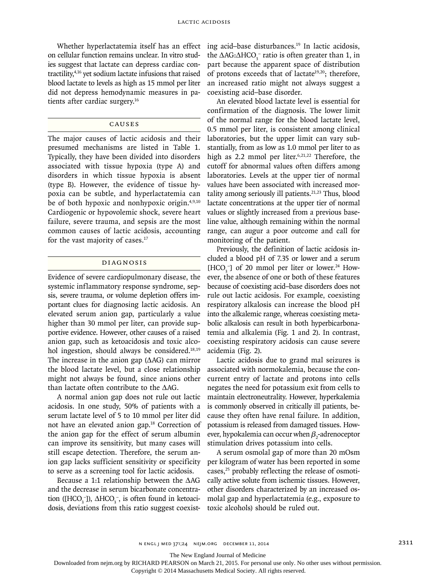Whether hyperlactatemia itself has an effect on cellular function remains unclear. In vitro studies suggest that lactate can depress cardiac contractility,4,16 yet sodium lactate infusions that raised blood lactate to levels as high as 15 mmol per liter did not depress hemodynamic measures in patients after cardiac surgery.16

# **CAUSES**

The major causes of lactic acidosis and their presumed mechanisms are listed in Table 1. Typically, they have been divided into disorders associated with tissue hypoxia (type A) and disorders in which tissue hypoxia is absent (type B). However, the evidence of tissue hypoxia can be subtle, and hyperlactatemia can be of both hypoxic and nonhypoxic origin.4,9,10 Cardiogenic or hypovolemic shock, severe heart failure, severe trauma, and sepsis are the most common causes of lactic acidosis, accounting for the vast majority of cases.<sup>17</sup>

## Diagnosis

Evidence of severe cardiopulmonary disease, the systemic inflammatory response syndrome, sepsis, severe trauma, or volume depletion offers important clues for diagnosing lactic acidosis. An elevated serum anion gap, particularly a value higher than 30 mmol per liter, can provide supportive evidence. However, other causes of a raised anion gap, such as ketoacidosis and toxic alcohol ingestion, should always be considered.<sup>18,19</sup> The increase in the anion gap  $( \Delta AG)$  can mirror the blood lactate level, but a close relationship might not always be found, since anions other than lactate often contribute to the ΔAG.

A normal anion gap does not rule out lactic acidosis. In one study, 50% of patients with a serum lactate level of 5 to 10 mmol per liter did not have an elevated anion gap.18 Correction of the anion gap for the effect of serum albumin can improve its sensitivity, but many cases will still escape detection. Therefore, the serum anion gap lacks sufficient sensitivity or specificity to serve as a screening tool for lactic acidosis.

Because a 1:1 relationship between the ΔAG and the decrease in serum bicarbonate concentration ([HCO<sub>3</sub><sup>-</sup>]),  $\Delta$ HCO<sub>3</sub><sup>-</sup>, is often found in ketoacidosis, deviations from this ratio suggest coexisting acid–base disturbances.19 In lactic acidosis, the  $\Delta \text{AG:}\Delta \text{HCO}_3^-$  ratio is often greater than 1, in part because the apparent space of distribution of protons exceeds that of lactate<sup>19,20</sup>; therefore, an increased ratio might not always suggest a coexisting acid–base disorder.

An elevated blood lactate level is essential for confirmation of the diagnosis. The lower limit of the normal range for the blood lactate level, 0.5 mmol per liter, is consistent among clinical laboratories, but the upper limit can vary substantially, from as low as 1.0 mmol per liter to as high as 2.2 mmol per liter.<sup>6,21,22</sup> Therefore, the cutoff for abnormal values often differs among laboratories. Levels at the upper tier of normal values have been associated with increased mortality among seriously ill patients. $21,23$  Thus, blood lactate concentrations at the upper tier of normal values or slightly increased from a previous baseline value, although remaining within the normal range, can augur a poor outcome and call for monitoring of the patient.

Previously, the definition of lactic acidosis included a blood pH of 7.35 or lower and a serum  $[HCO<sub>3</sub><sup>-</sup>]$  of 20 mmol per liter or lower.<sup>24</sup> However, the absence of one or both of these features because of coexisting acid–base disorders does not rule out lactic acidosis. For example, coexisting respiratory alkalosis can increase the blood pH into the alkalemic range, whereas coexisting metabolic alkalosis can result in both hyperbicarbonatemia and alkalemia (Fig. 1 and 2). In contrast, coexisting respiratory acidosis can cause severe acidemia (Fig. 2).

Lactic acidosis due to grand mal seizures is associated with normokalemia, because the concurrent entry of lactate and protons into cells negates the need for potassium exit from cells to maintain electroneutrality. However, hyperkalemia is commonly observed in critically ill patients, because they often have renal failure. In addition, potassium is released from damaged tissues. However, hypokalemia can occur when  $\beta_{2}$ -adrenoceptor stimulation drives potassium into cells.

A serum osmolal gap of more than 20 mOsm per kilogram of water has been reported in some cases,25 probably reflecting the release of osmotically active solute from ischemic tissues. However, other disorders characterized by an increased osmolal gap and hyperlactatemia (e.g., exposure to toxic alcohols) should be ruled out.

The New England Journal of Medicine

Downloaded from nejm.org by RICHARD PEARSON on March 21, 2015. For personal use only. No other uses without permission.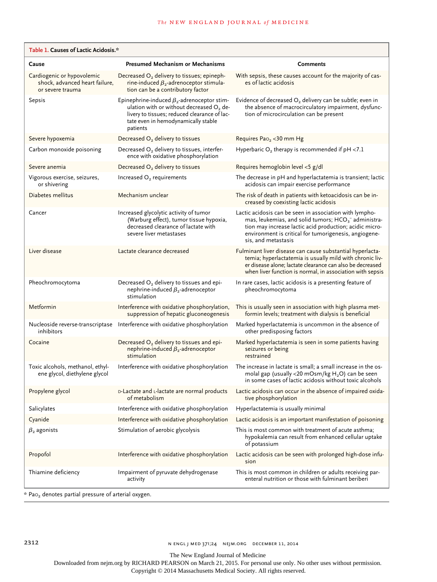| Table 1. Causes of Lactic Acidosis.*                                             |                                                                                                                                                                                                              |                                                                                                                                                                                                                                                             |
|----------------------------------------------------------------------------------|--------------------------------------------------------------------------------------------------------------------------------------------------------------------------------------------------------------|-------------------------------------------------------------------------------------------------------------------------------------------------------------------------------------------------------------------------------------------------------------|
| Cause                                                                            | <b>Presumed Mechanism or Mechanisms</b>                                                                                                                                                                      | <b>Comments</b>                                                                                                                                                                                                                                             |
| Cardiogenic or hypovolemic<br>shock, advanced heart failure,<br>or severe trauma | Decreased O <sub>2</sub> delivery to tissues; epineph-<br>rine-induced $\beta_2$ -adrenoceptor stimula-<br>tion can be a contributory factor                                                                 | With sepsis, these causes account for the majority of cas-<br>es of lactic acidosis                                                                                                                                                                         |
| Sepsis                                                                           | Epinephrine-induced $\beta_2$ -adrenoceptor stim-<br>ulation with or without decreased O <sub>2</sub> de-<br>livery to tissues; reduced clearance of lac-<br>tate even in hemodynamically stable<br>patients | Evidence of decreased $O_2$ delivery can be subtle; even in<br>the absence of macrocirculatory impairment, dysfunc-<br>tion of microcirculation can be present                                                                                              |
| Severe hypoxemia                                                                 | Decreased $O2$ delivery to tissues                                                                                                                                                                           | Requires Pao <sub>2</sub> < 30 mm Hg                                                                                                                                                                                                                        |
| Carbon monoxide poisoning                                                        | Decreased O <sub>2</sub> delivery to tissues, interfer-<br>ence with oxidative phosphorylation                                                                                                               | Hyperbaric $O_2$ therapy is recommended if pH <7.1                                                                                                                                                                                                          |
| Severe anemia                                                                    | Decreased $O2$ delivery to tissues                                                                                                                                                                           | Requires hemoglobin level <5 g/dl                                                                                                                                                                                                                           |
| Vigorous exercise, seizures,<br>or shivering                                     | Increased O <sub>2</sub> requirements                                                                                                                                                                        | The decrease in pH and hyperlactatemia is transient; lactic<br>acidosis can impair exercise performance                                                                                                                                                     |
| Diabetes mellitus                                                                | Mechanism unclear                                                                                                                                                                                            | The risk of death in patients with ketoacidosis can be in-<br>creased by coexisting lactic acidosis                                                                                                                                                         |
| Cancer                                                                           | Increased glycolytic activity of tumor<br>(Warburg effect), tumor tissue hypoxia,<br>decreased clearance of lactate with<br>severe liver metastases                                                          | Lactic acidosis can be seen in association with lympho-<br>mas, leukemias, and solid tumors; $HCO3-$ administra-<br>tion may increase lactic acid production; acidic micro-<br>environment is critical for tumorigenesis, angiogene-<br>sis, and metastasis |
| Liver disease                                                                    | Lactate clearance decreased                                                                                                                                                                                  | Fulminant liver disease can cause substantial hyperlacta-<br>temia; hyperlactatemia is usually mild with chronic liv-<br>er disease alone; lactate clearance can also be decreased<br>when liver function is normal, in association with sepsis             |
| Pheochromocytoma                                                                 | Decreased O <sub>2</sub> delivery to tissues and epi-<br>nephrine-induced $\beta_2$ -adrenoceptor<br>stimulation                                                                                             | In rare cases, lactic acidosis is a presenting feature of<br>pheochromocytoma                                                                                                                                                                               |
| Metformin                                                                        | Interference with oxidative phosphorylation,<br>suppression of hepatic gluconeogenesis                                                                                                                       | This is usually seen in association with high plasma met-<br>formin levels; treatment with dialysis is beneficial                                                                                                                                           |
| inhibitors                                                                       | Nucleoside reverse-transcriptase Interference with oxidative phosphorylation                                                                                                                                 | Marked hyperlactatemia is uncommon in the absence of<br>other predisposing factors                                                                                                                                                                          |
| Cocaine                                                                          | Decreased $O2$ delivery to tissues and epi-<br>nephrine-induced $\beta_2$ -adrenoceptor<br>stimulation                                                                                                       | Marked hyperlactatemia is seen in some patients having<br>seizures or being<br>restrained                                                                                                                                                                   |
| Toxic alcohols, methanol, ethyl-<br>ene glycol, diethylene glycol                | Interference with oxidative phosphorylation                                                                                                                                                                  | The increase in lactate is small; a small increase in the os-<br>molal gap (usually <20 mOsm/kg H <sub>2</sub> O) can be seen<br>in some cases of lactic acidosis without toxic alcohols                                                                    |
| Propylene glycol                                                                 | D-Lactate and L-lactate are normal products<br>of metabolism                                                                                                                                                 | Lactic acidosis can occur in the absence of impaired oxida-<br>tive phosphorylation                                                                                                                                                                         |
| Salicylates                                                                      | Interference with oxidative phosphorylation                                                                                                                                                                  | Hyperlactatemia is usually minimal                                                                                                                                                                                                                          |
| Cyanide                                                                          | Interference with oxidative phosphorylation                                                                                                                                                                  | Lactic acidosis is an important manifestation of poisoning                                                                                                                                                                                                  |
| $\beta_2$ agonists                                                               | Stimulation of aerobic glycolysis                                                                                                                                                                            | This is most common with treatment of acute asthma;<br>hypokalemia can result from enhanced cellular uptake<br>of potassium                                                                                                                                 |
| Propofol                                                                         | Interference with oxidative phosphorylation                                                                                                                                                                  | Lactic acidosis can be seen with prolonged high-dose infu-<br>sion                                                                                                                                                                                          |
| Thiamine deficiency<br>$*$ Pao, denotes partial pressure of arterial ovvoen      | Impairment of pyruvate dehydrogenase<br>activity                                                                                                                                                             | This is most common in children or adults receiving par-<br>enteral nutrition or those with fulminant beriberi                                                                                                                                              |

 $P$ a $O_2$  denotes partial pressure of arterial oxygen.

The New England Journal of Medicine

Downloaded from nejm.org by RICHARD PEARSON on March 21, 2015. For personal use only. No other uses without permission.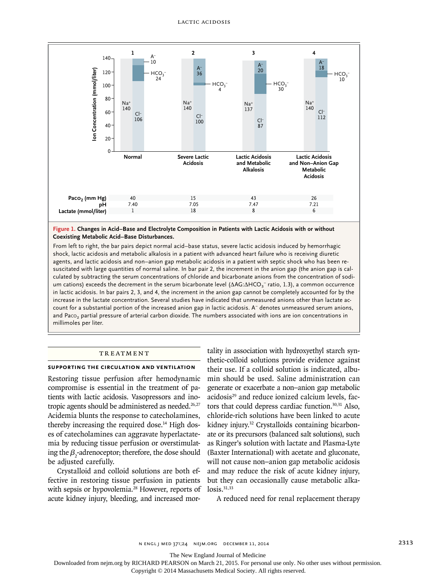

**Figure 1. Changes in Acid–Base and Electrolyte Composition in Patients with Lactic Acidosis with or without Coexisting Metabolic Acid–Base Disturbances.**

From left to right, the bar pairs depict normal acid–base status, severe lactic acidosis induced by hemorrhagic shock, lactic acidosis and metabolic alkalosis in a patient with advanced heart failure who is receiving diuretic agents, and lactic acidosis and non–anion gap metabolic acidosis in a patient with septic shock who has been resuscitated with large quantities of normal saline. In bar pair 2, the increment in the anion gap (the anion gap is calculated by subtracting the serum concentrations of chloride and bicarbonate anions from the concentration of sodium cations) exceeds the decrement in the serum bicarbonate level (ΔAG:ΔHCO<sub>3</sub><sup>-</sup> ratio, 1.3), a common occurrence in lactic acidosis. In bar pairs 2, 3, and 4, the increment in the anion gap cannot be completely accounted for by the increase in the lactate concentration. Several studies have indicated that unmeasured anions other than lactate account for a substantial portion of the increased anion gap in lactic acidosis. A<sup>−</sup> denotes unmeasured serum anions, and Paco<sub>2</sub> partial pressure of arterial carbon dioxide. The numbers associated with ions are ion concentrations in millimoles per liter.

## **TREATMENT**

## **Supporting the Circulation and Ventilation**

Restoring tissue perfusion after hemodynamic compromise is essential in the treatment of patients with lactic acidosis. Vasopressors and inotropic agents should be administered as needed.<sup>26,27</sup> Acidemia blunts the response to catecholamines, thereby increasing the required dose.<sup>14</sup> High doses of catecholamines can aggravate hyperlactatemia by reducing tissue perfusion or overstimulating the  $\beta_2$ -adrenoceptor; therefore, the dose should be adjusted carefully.

Crystalloid and colloid solutions are both effective in restoring tissue perfusion in patients with sepsis or hypovolemia.<sup>28</sup> However, reports of acute kidney injury, bleeding, and increased mor-

tality in association with hydroxyethyl starch synthetic-colloid solutions provide evidence against their use. If a colloid solution is indicated, albumin should be used. Saline administration can generate or exacerbate a non–anion gap metabolic acidosis<sup>29</sup> and reduce ionized calcium levels, factors that could depress cardiac function.30,31 Also, chloride-rich solutions have been linked to acute kidney injury.<sup>32</sup> Crystalloids containing bicarbonate or its precursors (balanced salt solutions), such as Ringer's solution with lactate and Plasma-Lyte (Baxter International) with acetate and gluconate, will not cause non–anion gap metabolic acidosis and may reduce the risk of acute kidney injury, but they can occasionally cause metabolic alka $loss<sup>31,33</sup>$ 

A reduced need for renal replacement therapy

The New England Journal of Medicine

Downloaded from nejm.org by RICHARD PEARSON on March 21, 2015. For personal use only. No other uses without permission.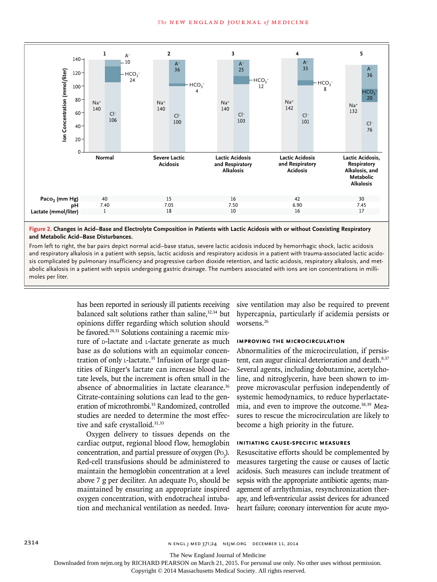

**Figure 2. Changes in Acid–Base and Electrolyte Composition in Patients with Lactic Acidosis with or without Coexisting Respiratory and Metabolic Acid–Base Disturbances.**

From left to right, the bar pairs depict normal acid–base status, severe lactic acidosis induced by hemorrhagic shock, lactic acidosis and respiratory alkalosis in a patient with sepsis, lactic acidosis and respiratory acidosis in a patient with trauma-associated lactic acidosis complicated by pulmonary insufficiency and progressive carbon dioxide retention, and lactic acidosis, respiratory alkalosis, and metabolic alkalosis in a patient with sepsis undergoing gastric drainage. The numbers associated with ions are ion concentrations in millimoles per liter.

> has been reported in seriously ill patients receiving balanced salt solutions rather than saline,<sup>32,34</sup> but opinions differ regarding which solution should be favored.<sup>28,31</sup> Solutions containing a racemic mixture of p-lactate and L-lactate generate as much base as do solutions with an equimolar concentration of only L-lactate.<sup>35</sup> Infusion of large quantities of Ringer's lactate can increase blood lactate levels, but the increment is often small in the absence of abnormalities in lactate clearance.<sup>36</sup> Citrate-containing solutions can lead to the generation of microthrombi.<sup>33</sup> Randomized, controlled studies are needed to determine the most effective and safe crystalloid.<sup>31,33</sup>

> Oxygen delivery to tissues depends on the cardiac output, regional blood flow, hemoglobin concentration, and partial pressure of oxygen  $(Po_2)$ . Red-cell transfusions should be administered to maintain the hemoglobin concentration at a level above 7 g per deciliter. An adequate  $Po_{2}$  should be maintained by ensuring an appropriate inspired oxygen concentration, with endotracheal intubation and mechanical ventilation as needed. Inva

sive ventilation may also be required to prevent hypercapnia, particularly if acidemia persists or worsens.26

#### **Improving the Microcirculation**

Abnormalities of the microcirculation, if persistent, can augur clinical deterioration and death.<sup>8,37</sup> Several agents, including dobutamine, acetylcholine, and nitroglycerin, have been shown to improve microvascular perfusion independently of systemic hemodynamics, to reduce hyperlactatemia, and even to improve the outcome.38,39 Measures to rescue the microcirculation are likely to become a high priority in the future.

## **Initiating Cause-Specific Measures**

Resuscitative efforts should be complemented by measures targeting the cause or causes of lactic acidosis. Such measures can include treatment of sepsis with the appropriate antibiotic agents; management of arrhythmias, resynchronization therapy, and left-ventricular assist devices for advanced heart failure; coronary intervention for acute myo-

2314 n engl j med 371;24 nejm.org December 11, 2014

The New England Journal of Medicine

Downloaded from nejm.org by RICHARD PEARSON on March 21, 2015. For personal use only. No other uses without permission.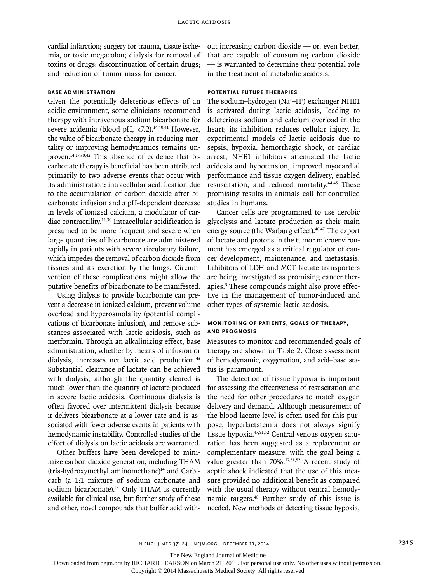cardial infarction; surgery for trauma, tissue ischemia, or toxic megacolon; dialysis for removal of toxins or drugs; discontinuation of certain drugs; and reduction of tumor mass for cancer.

## **Base Administration**

Given the potentially deleterious effects of an acidic environment, some clinicians recommend therapy with intravenous sodium bicarbonate for severe acidemia (blood pH, <7.2).<sup>14,40,41</sup> However, the value of bicarbonate therapy in reducing mortality or improving hemodynamics remains unproven.<sup>14,17,30,42</sup> This absence of evidence that bicarbonate therapy is beneficial has been attributed primarily to two adverse events that occur with its administration: intracellular acidification due to the accumulation of carbon dioxide after bicarbonate infusion and a pH-dependent decrease in levels of ionized calcium, a modulator of cardiac contractility.14,30 Intracellular acidification is presumed to be more frequent and severe when large quantities of bicarbonate are administered rapidly in patients with severe circulatory failure, which impedes the removal of carbon dioxide from tissues and its excretion by the lungs. Circumvention of these complications might allow the putative benefits of bicarbonate to be manifested.

Using dialysis to provide bicarbonate can prevent a decrease in ionized calcium, prevent volume overload and hyperosmolality (potential complications of bicarbonate infusion), and remove substances associated with lactic acidosis, such as metformin. Through an alkalinizing effect, base administration, whether by means of infusion or dialysis, increases net lactic acid production.<sup>43</sup> Substantial clearance of lactate can be achieved with dialysis, although the quantity cleared is much lower than the quantity of lactate produced in severe lactic acidosis. Continuous dialysis is often favored over intermittent dialysis because it delivers bicarbonate at a lower rate and is associated with fewer adverse events in patients with hemodynamic instability. Controlled studies of the effect of dialysis on lactic acidosis are warranted.

Other buffers have been developed to minimize carbon dioxide generation, including THAM (tris-hydroxymethyl aminomethane)<sup>14</sup> and Carbicarb (a 1:1 mixture of sodium carbonate and sodium bicarbonate).<sup>14</sup> Only THAM is currently available for clinical use, but further study of these and other, novel compounds that buffer acid without increasing carbon dioxide — or, even better, that are capable of consuming carbon dioxide — is warranted to determine their potential role in the treatment of metabolic acidosis.

## **Potential Future Therapies**

The sodium–hydrogen (Na+–H+ ) exchanger NHE1 is activated during lactic acidosis, leading to deleterious sodium and calcium overload in the heart; its inhibition reduces cellular injury. In experimental models of lactic acidosis due to sepsis, hypoxia, hemorrhagic shock, or cardiac arrest, NHE1 inhibitors attenuated the lactic acidosis and hypotension, improved myocardial performance and tissue oxygen delivery, enabled resuscitation, and reduced mortality.44,45 These promising results in animals call for controlled studies in humans.

Cancer cells are programmed to use aerobic glycolysis and lactate production as their main energy source (the Warburg effect).<sup>46,47</sup> The export of lactate and protons in the tumor microenvironment has emerged as a critical regulator of cancer development, maintenance, and metastasis. Inhibitors of LDH and MCT lactate transporters are being investigated as promising cancer therapies.<sup>3</sup> These compounds might also prove effective in the management of tumor-induced and other types of systemic lactic acidosis.

# **Monitoring of Patients, Goals of Therapy, and Prognosis**

Measures to monitor and recommended goals of therapy are shown in Table 2. Close assessment of hemodynamic, oxygenation, and acid–base status is paramount.

The detection of tissue hypoxia is important for assessing the effectiveness of resuscitation and the need for other procedures to match oxygen delivery and demand. Although measurement of the blood lactate level is often used for this purpose, hyperlactatemia does not always signify tissue hypoxia.47,51,52 Central venous oxygen saturation has been suggested as a replacement or complementary measure, with the goal being a value greater than 70%.<sup>27,51,52</sup> A recent study of septic shock indicated that the use of this measure provided no additional benefit as compared with the usual therapy without central hemodynamic targets.48 Further study of this issue is needed. New methods of detecting tissue hypoxia,

The New England Journal of Medicine

Downloaded from nejm.org by RICHARD PEARSON on March 21, 2015. For personal use only. No other uses without permission.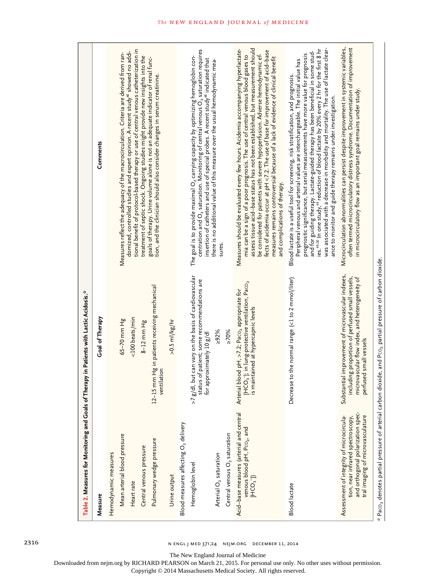|                                                                                                                                                        | Table 2. Measures for Monitoring and Goals of Therapy in Patients with Lactic Acidosis.*                                                                                         |                                                                                                                                                                                                                                                                                                                                                                                                                                                                                                                                                                                                                             |
|--------------------------------------------------------------------------------------------------------------------------------------------------------|----------------------------------------------------------------------------------------------------------------------------------------------------------------------------------|-----------------------------------------------------------------------------------------------------------------------------------------------------------------------------------------------------------------------------------------------------------------------------------------------------------------------------------------------------------------------------------------------------------------------------------------------------------------------------------------------------------------------------------------------------------------------------------------------------------------------------|
| Measure                                                                                                                                                | Goal of Therapy                                                                                                                                                                  | Comments                                                                                                                                                                                                                                                                                                                                                                                                                                                                                                                                                                                                                    |
| Hemodynamic measures                                                                                                                                   |                                                                                                                                                                                  |                                                                                                                                                                                                                                                                                                                                                                                                                                                                                                                                                                                                                             |
| Mean arterial blood pressure                                                                                                                           | 65-70 mm Hg                                                                                                                                                                      | Measures reflect the adequacy of the macrocirculation. Criteria are derived from ran-                                                                                                                                                                                                                                                                                                                                                                                                                                                                                                                                       |
| Heart rate                                                                                                                                             | <100 beats/min                                                                                                                                                                   | tional benefit of protocol-based therapy or use of central venous catheterization in<br>domized, controlled studies and expert opinion. A recent study <sup>48</sup> showed no addi-                                                                                                                                                                                                                                                                                                                                                                                                                                        |
| Central venous pressure                                                                                                                                | $8-12$ mm Hg                                                                                                                                                                     | treatment of septic shock. Ongoing studies might provide new insights into the                                                                                                                                                                                                                                                                                                                                                                                                                                                                                                                                              |
| Pulmonary wedge pressure                                                                                                                               | 12-15 mm Hg in patients receiving mechanical<br>ventilation                                                                                                                      | goals of therapy. Urine volume alone is not an adequate indicator of renal func-<br>tion, and the clinician should also consider changes in serum creatinine.                                                                                                                                                                                                                                                                                                                                                                                                                                                               |
| Urine output                                                                                                                                           | $>0.5$ ml/kg/hr                                                                                                                                                                  |                                                                                                                                                                                                                                                                                                                                                                                                                                                                                                                                                                                                                             |
| Blood measures affecting $O_2$ delivery                                                                                                                |                                                                                                                                                                                  |                                                                                                                                                                                                                                                                                                                                                                                                                                                                                                                                                                                                                             |
| Hemoglobin level                                                                                                                                       | but can vary on the basis of cardiovascular<br>status of patient; some recommendations are<br>for approximately 10 g/dl<br>$>7$ g/dl,                                            | centration and $O_2$ saturation. Monitoring of central venous $O_2$ saturation requires<br>The goal is to provide maximal O2 carrying capacity by optimizing hemoglobin con-<br>insertion of catheters and use of special probes. A recent study <sup>48</sup> indicated that                                                                                                                                                                                                                                                                                                                                               |
| Arterial O <sub>2</sub> saturation                                                                                                                     | $>92\%$                                                                                                                                                                          | there is no additional value of this measure over the usual hemodynamic mea-<br>sures                                                                                                                                                                                                                                                                                                                                                                                                                                                                                                                                       |
| Central venous O <sub>2</sub> saturation                                                                                                               | $\geq 70\%$                                                                                                                                                                      |                                                                                                                                                                                                                                                                                                                                                                                                                                                                                                                                                                                                                             |
| Acid-base measures (arterial and central<br>venous blood pH, Pco <sub>2</sub> , and<br>$[HCO3$ ])                                                      | [HCO <sub>3</sub> ]; in lung-protective ventilation, Paco <sub>2</sub><br>Arterial blood pH, >7.2; Paco <sub>2</sub> appropriate for<br>is maintained at hypercapnic levels      | assess tissue acid-base status has not been established, but measurement should<br>Measures should be evaluated every few hours. Acidemia accompanying hyperlactate-<br>fects of acidemia occur at pH <7.2. The use of base for improvement of acid-base<br>be considered for patients with severe hypoperfusion. Adverse hemodynamic ef-<br>mia can be a sign of a poor prognosis. The use of central venous blood gases to<br>measures remains controversial because of a lack of evidence of clinical benefit<br>and complications of therapy.                                                                           |
| <b>Blood</b> lactate                                                                                                                                   | Decrease to the normal range (<1 to 2 mmol/liter)                                                                                                                                | was associated with a decrease in morbidity and mortality. The use of lactate clear-<br>ies. <sup>49,50</sup> In one study, <sup>49</sup> reduction of blood lactate by 20% every 2 hr for the first 8 hr<br>and for guiding therapy. Lactate-guided therapy has been beneficial in some stud-<br>prognostic significance, but serial measurements have more value for prognosis<br>Peripheral venous and arterial values are interchangeable. The initial value has<br>Blood lactate is a useful tool for screening, risk stratification, and prognosis.<br>ance to monitor and guide therapy remains under investigation. |
| and orthogonal polarization spec-<br>tral imaging of microvasculature<br>Assessment of integrity of microcircula-<br>tion, near infrared spectroscopy, | Substantial improvement of microvascular indexes,<br>including proportion of perfused small vessels,<br>microvascular flow index, and heterogeneity of<br>perfused small vessels | often termed microcirculatory distress syndrome. Documentation of improvement<br>Microcirculation abnormalities can persist despite improvement in systemic variables,<br>in microcirculatory flow as an important goal remains under study.                                                                                                                                                                                                                                                                                                                                                                                |
|                                                                                                                                                        | $^\star$ Paco <sub>2</sub> denotes partial pressure of arterial carbon dioxide, and Pco <sub>2</sub> partial pressure of carbon dioxide.                                         |                                                                                                                                                                                                                                                                                                                                                                                                                                                                                                                                                                                                                             |

2316 n engl j med 371;24 nejm.org December 11, 2014

The New England Journal of Medicine

Downloaded from nejm.org by RICHARD PEARSON on March 21, 2015. For personal use only. No other uses without permission.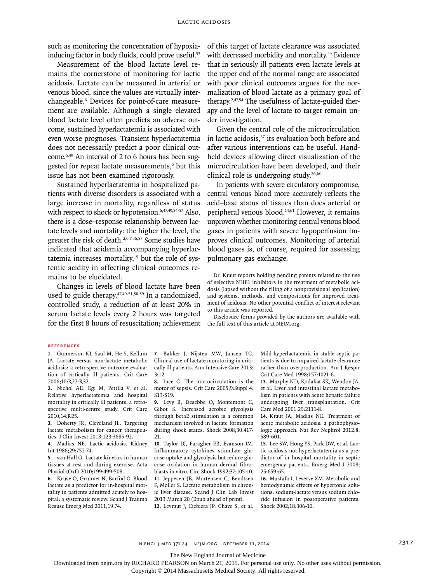such as monitoring the concentration of hypoxiainducing factor in body fluids, could prove useful.<sup>53</sup>

Measurement of the blood lactate level remains the cornerstone of monitoring for lactic acidosis. Lactate can be measured in arterial or venous blood, since the values are virtually interchangeable.6 Devices for point-of-care measurement are available. Although a single elevated blood lactate level often predicts an adverse outcome, sustained hyperlactatemia is associated with even worse prognoses. Transient hyperlactatemia does not necessarily predict a poor clinical outcome.6,49 An interval of 2 to 6 hours has been suggested for repeat lactate measurements,<sup>6</sup> but this issue has not been examined rigorously.

Sustained hyperlactatemia in hospitalized patients with diverse disorders is associated with a large increase in mortality, regardless of status with respect to shock or hypotension.<sup>6,47,49,54-57</sup> Also, there is a dose–response relationship between lactate levels and mortality: the higher the level, the greater the risk of death.2,6,7,56,57 Some studies have indicated that acidemia accompanying hyperlactatemia increases mortality, $15$  but the role of systemic acidity in affecting clinical outcomes remains to be elucidated.

Changes in levels of blood lactate have been used to guide therapy. $47,49-51,58,59$  In a randomized, controlled study, a reduction of at least 20% in serum lactate levels every 2 hours was targeted for the first 8 hours of resuscitation; achievement of this target of lactate clearance was associated with decreased morbidity and mortality.<sup>49</sup> Evidence that in seriously ill patients even lactate levels at the upper end of the normal range are associated with poor clinical outcomes argues for the normalization of blood lactate as a primary goal of therapy.2,47,54 The usefulness of lactate-guided therapy and the level of lactate to target remain under investigation.

Given the central role of the microcirculation in lactic acidosis, $37$  its evaluation both before and after various interventions can be useful. Handheld devices allowing direct visualization of the microcirculation have been developed, and their clinical role is undergoing study. $26,60$ 

In patients with severe circulatory compromise, central venous blood more accurately reflects the acid–base status of tissues than does arterial or peripheral venous blood.14,61 However, it remains unproven whether monitoring central venous blood gases in patients with severe hypoperfusion improves clinical outcomes. Monitoring of arterial blood gases is, of course, required for assessing pulmonary gas exchange.

Dr. Kraut reports holding pending patents related to the use of selective NHE1 inhibitors in the treatment of metabolic acidosis (lapsed without the filing of a nonprovisional application) and systems, methods, and compositions for improved treatment of acidosis. No other potential conflict of interest relevant to this article was reported.

Disclosure forms provided by the authors are available with the full text of this article at NEJM.org.

#### **References**

**1.** Gunnerson KJ, Saul M, He S, Kellum JA. Lactate versus non-lactate metabolic acidosis: a retrospective outcome evaluation of critically ill patients. Crit Care 2006;10:R22-R32.

**2.** Nichol AD, Egi M, Pettila V, et al. Relative hyperlactatemia and hospital mortality in critically ill patients: a retrospective multi-centre study. Crit Care 2010;14:R25.

**3.** Doherty JR, Cleveland JL. Targeting lactate metabolism for cancer therapeutics. J Clin Invest 2013;123:3685-92.

**4.** Madias NE. Lactic acidosis. Kidney Int 1986;29:752-74.

**5.** van Hall G. Lactate kinetics in human tissues at rest and during exercise. Acta Physiol (Oxf) 2010;199:499-508.

**6.** Kruse O, Grunnet N, Barfod C. Blood lactate as a predictor for in-hospital mortality in patients admitted acutely to hospital: a systematic review. Scand J Trauma Resusc Emerg Med 2011;19:74.

**7.** Bakker J, Nijsten MW, Jansen TC. Clinical use of lactate monitoring in critically ill patients. Ann Intensive Care 2013; 3:12.

**8.** Ince C. The microcirculation is the motor of sepsis. Crit Care 2005;9:Suppl 4: S13-S19.

**9.** Levy B, Desebbe O, Montemont C, Gibot S. Increased aerobic glycolysis through beta2 stimulation is a common mechanism involved in lactate formation during shock states. Shock 2008;30:417- 21.

**10.** Taylor DJ, Faragher EB, Evanson JM. Inflammatory cytokines stimulate glucose uptake and glycolysis but reduce glucose oxidation in human dermal fibroblasts in vitro. Circ Shock 1992;37:105-10. **11.** Jeppesen JB, Mortensen C, Bendtsen F, Møller S. Lactate metabolism in chronic liver disease. Scand J Clin Lab Invest 2013 March 20 (Epub ahead of print). **12.** Levraut J, Ciebiera JP, Chave S, et al.

Mild hyperlactatemia in stable septic patients is due to impaired lactate clearance rather than overproduction. Am J Respir Crit Care Med 1998;157:1021-6.

**13.** Murphy ND, Kodakat SK, Wendon JA, et al. Liver and intestinal lactate metabolism in patients with acute hepatic failure undergoing liver transplantation. Crit Care Med 2001;29:2111-8.

**14.** Kraut JA, Madias NE. Treatment of acute metabolic acidosis: a pathophysiologic approach. Nat Rev Nephrol 2012;8: 589-601.

**15.** Lee SW, Hong YS, Park DW, et al. Lactic acidosis not hyperlactatemia as a predictor of in hospital mortality in septic emergency patients. Emerg Med J 2008; 25:659-65.

**16.** Mustafa I, Leverve XM. Metabolic and hemodynamic effects of hypertonic solutions: sodium-lactate versus sodium chloride infusion in postoperative patients. Shock 2002;18:306-10.

n engl j med 371;24 nejm.org December 11, 2014 2317

The New England Journal of Medicine

Downloaded from nejm.org by RICHARD PEARSON on March 21, 2015. For personal use only. No other uses without permission.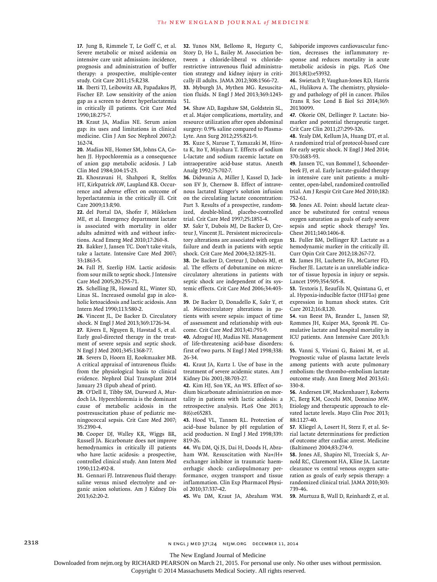**17.** Jung B, Rimmele T, Le Goff C, et al. Severe metabolic or mixed acidemia on intensive care unit admission: incidence, prognosis and administration of buffer therapy: a prospective, multiple-center study. Crit Care 2011;15:R238.

**18.** Iberti TJ, Leibowitz AB, Papadakos PJ, Fischer EP. Low sensitivity of the anion gap as a screen to detect hyperlactatemia in critically ill patients. Crit Care Med 1990;18:275-7.

**19.** Kraut JA, Madias NE. Serum anion gap: its uses and limitations in clinical medicine. Clin J Am Soc Nephrol 2007;2: 162-74.

**20.** Madias NE, Homer SM, Johns CA, Cohen JJ. Hypochloremia as a consequence of anion gap metabolic acidosis. J Lab Clin Med 1984;104:15-23.

**21.** Khosravani H, Shahpori R, Stelfox HT, Kirkpatrick AW, Laupland KB. Occurrence and adverse effect on outcome of hyperlactatemia in the critically ill. Crit Care 2009;13:R90.

**22.** del Portal DA, Shofer F, Mikkelsen ME, et al. Emergency department lactate is associated with mortality in older adults admitted with and without infections. Acad Emerg Med 2010;17:260-8.

**23.** Bakker J, Jansen TC. Don't take vitals, take a lactate. Intensive Care Med 2007; 33:1863-5.

**24.** Fall PJ, Szerlip HM. Lactic acidosis: from sour milk to septic shock. J Intensive Care Med 2005;20:255-71.

**25.** Schelling JR, Howard RL, Winter SD, Linas SL. Increased osmolal gap in alcoholic ketoacidosis and lactic acidosis. Ann Intern Med 1990;113:580-2.

**26.** Vincent JL, De Backer D. Circulatory shock. N Engl J Med 2013;369:1726-34.

**27.** Rivers E, Nguyen B, Havstad S, et al. Early goal-directed therapy in the treatment of severe sepsis and septic shock. N Engl J Med 2001;345:1368-77.

**28.** Severs D, Hoorn EJ, Rookmaaker MB. A critical appraisal of intravenous fluids: from the physiological basis to clinical evidence. Nephrol Dial Transplant 2014 January 23 (Epub ahead of print).

**29.** O'Dell E, Tibby SM, Durward A, Murdoch IA. Hyperchloremia is the dominant cause of metabolic acidosis in the postresuscitation phase of pediatric meningococcal sepsis. Crit Care Med 2007; 35:2390-4.

**30.** Cooper DJ, Walley KR, Wiggs BR, Russell JA. Bicarbonate does not improve hemodynamics in critically ill patients who have lactic acidosis: a prospective, controlled clinical study. Ann Intern Med 1990;112:492-8.

**31.** Gennari FJ. Intravenous fluid therapy: saline versus mixed electrolyte and organic anion solutions. Am J Kidney Dis 2013;62:20-2.

**32.** Yunos NM, Bellomo R, Hegarty C, Story D, Ho L, Bailey M. Association between a chloride-liberal vs chloriderestrictive intravenous fluid administration strategy and kidney injury in critically ill adults. JAMA 2012;308:1566-72. **33.** Myburgh JA, Mythen MG. Resuscitation fluids. N Engl J Med 2013;369:1243- 51.

**34.** Shaw AD, Bagshaw SM, Goldstein SL, et al. Major complications, mortality, and resource utilization after open abdominal surgery: 0.9% saline compared to Plasma-Lyte. Ann Surg 2012;255:821-9.

**35.** Kuze S, Naruse T, Yamazaki M, Hirota K, Ito Y, Miyahara T. Effects of sodium L-lactate and sodium racemic lactate on intraoperative acid-base status. Anesth Analg 1992;75:702-7.

**36.** Didwania A, Miller J, Kassel D, Jackson EV Jr, Chernow B. Effect of intravenous lactated Ringer's solution infusion on the circulating lactate concentration: Part 3. Results of a prospective, randomized, double-blind, placebo-controlled trial. Crit Care Med 1997;25:1851-4.

**37.** Sakr Y, Dubois MJ, De Backer D, Creteur J, Vincent JL. Persistent microcirculatory alterations are associated with organ failure and death in patients with septic shock. Crit Care Med 2004;32:1825-31.

**38.** De Backer D, Creteur J, Dubois MJ, et al. The effects of dobutamine on microcirculatory alterations in patients with septic shock are independent of its systemic effects. Crit Care Med 2006;34:403- 8.

**39.** De Backer D, Donadello K, Sakr Y, et al. Microcirculatory alterations in patients with severe sepsis: impact of time of assessment and relationship with outcome. Crit Care Med 2013;41:791-9.

**40.** Adrogué HJ, Madias NE. Management of life-threatening acid-base disorders: first of two parts. N Engl J Med 1998;338: 26-34.

**41.** Kraut JA, Kurtz I. Use of base in the treatment of severe acidemic states. Am J Kidney Dis 2001;38:703-27.

**42.** Kim HJ, Son YK, An WS. Effect of sodium bicarbonate administration on mortality in patients with lactic acidosis: a retrospective analysis. PLoS One 2013; 8(6):e65283.

**43.** Hood VL, Tannen RL. Protection of acid–base balance by pH regulation of acid production. N Engl J Med 1998;339: 819-26.

**44.** Wu DM, Qi JS, Dai H, Doods H, Abraham WM. Resuscitation with Na+/H+ exchanger inhibitor in traumatic haemorrhagic shock: cardiopulmonary performance, oxygen transport and tissue inflammation. Clin Exp Pharmacol Physiol 2010;37:337-42.

**45.** Wu DM, Kraut JA, Abraham WM.

Sabiporide improves cardiovascular function, decreases the inflammatory response and reduces mortality in acute metabolic acidosis in pigs. PLoS One 2013;8(1):e53932.

**46.** Swietach P, Vaughan-Jones RD, Harris AL, Hulikova A. The chemistry, physiology and pathology of pH in cancer. Philos Trans R Soc Lond B Biol Sci 2014;369: 20130099.

**47.** Okorie ON, Dellinger P. Lactate: biomarker and potential therapeutic target. Crit Care Clin 2011;27:299-326.

**48.** Yealy DM, Kellum JA, Huang DT, et al. A randomized trial of protocol-based care for early septic shock. N Engl J Med 2014; 370:1683-93.

**49.** Jansen TC, van Bommel J, Schoonderbeek FJ, et al. Early lactate-guided therapy in intensive care unit patients: a multicenter, open-label, randomized controlled trial. Am J Respir Crit Care Med 2010;182: 752-61.

**50.** Jones AE. Point: should lactate clearance be substituted for central venous oxygen saturation as goals of early severe sepsis and septic shock therapy? Yes. Chest 2011;140:1406-8.

**51.** Fuller BM, Dellinger RP. Lactate as a hemodynamic marker in the critically ill. Curr Opin Crit Care 2012;18:267-72.

**52.** James JH, Luchette FA, McCarter FD, Fischer JE. Lactate is an unreliable indicator of tissue hypoxia in injury or sepsis. Lancet 1999;354:505-8.

**53.** Textoris J, Beaufils N, Quintana G, et al. Hypoxia-inducible factor (HIF1α) gene expression in human shock states. Crit Care 2012;16:R120.

**54.** van Beest PA, Brander L, Jansen SP, Rommes JH, Kuiper MA, Spronk PE. Cumulative lactate and hospital mortality in ICU patients. Ann Intensive Care 2013;3: 6.

**55.** Vanni S, Viviani G, Baioni M, et al. Prognostic value of plasma lactate levels among patients with acute pulmonary embolism: the thrombo-embolism lactate outcome study. Ann Emerg Med 2013;61: 330-8.

**56.** Andersen LW, Mackenhauer J, Roberts JC, Berg KM, Cocchi MN, Donnino MW. Etiology and therapeutic approach to elevated lactate levels. Mayo Clin Proc 2013; 88:1127-40.

**57.** Kliegel A, Losert H, Sterz F, et al. Serial lactate determinations for prediction of outcome after cardiac arrest. Medicine (Baltimore) 2004;83:274-9.

**58.** Jones AE, Shapiro NI, Trzeciak S, Arnold RC, Claremont HA, Kline JA. Lactate clearance vs central venous oxygen saturation as goals of early sepsis therapy: a randomized clinical trial. JAMA 2010;303: 739-46.

**59.** Murtuza B, Wall D, Reinhardt Z, et al.

2318 n engl j med 371;24 nejm.org December 11, 2014

The New England Journal of Medicine

Downloaded from nejm.org by RICHARD PEARSON on March 21, 2015. For personal use only. No other uses without permission.